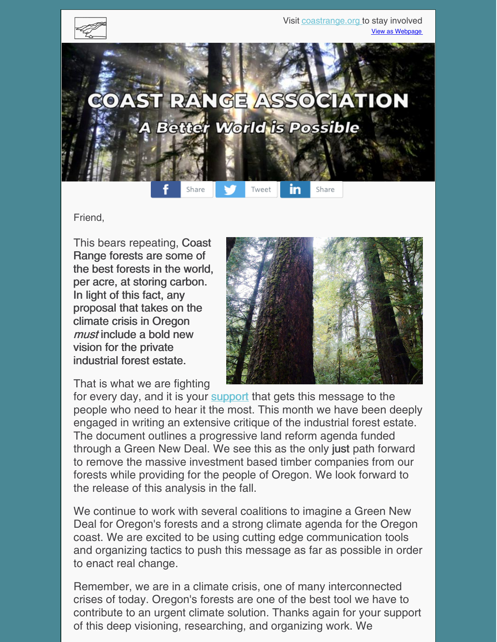

Friend,

This bears repeating, Coast Range forests are some of the best forests in the world, per acre, at storing carbon. In light of this fact, any proposal that takes on the climate crisis in Oregon must include a bold new vision for the private industrial forest estate.



That is what we are fighting

for every day, and it is your [support](https://coastrange.org/donate/) that gets this message to the people who need to hear it the most. This month we have been deeply engaged in writing an extensive critique of the industrial forest estate. The document outlines a progressive land reform agenda funded through a Green New Deal. We see this as the only just path forward to remove the massive investment based timber companies from our forests while providing for the people of Oregon. We look forward to the release of this analysis in the fall.

We continue to work with several coalitions to imagine a Green New Deal for Oregon's forests and a strong climate agenda for the Oregon coast. We are excited to be using cutting edge communication tools and organizing tactics to push this message as far as possible in order to enact real change.

Remember, we are in a climate crisis, one of many interconnected crises of today. Oregon's forests are one of the best tool we have to contribute to an urgent climate solution. Thanks again for your support of this deep visioning, researching, and organizing work. We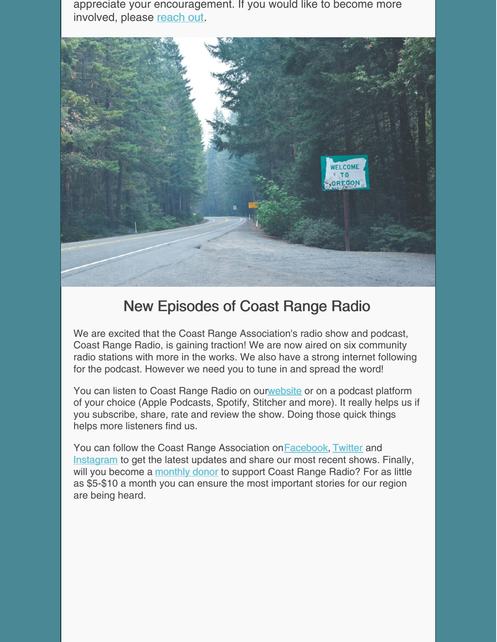appreciate your encouragement. If you would like to become more involved, please [reach](https://coastrange.org/join-us/) out.



## New Episodes of Coast Range Radio

We are excited that the Coast Range Association's radio show and podcast, Coast Range Radio, is gaining traction! We are now aired on six community radio stations with more in the works. We also have a strong internet following for the podcast. However we need you to tune in and spread the word!

You can listen to Coast Range Radio on ou[rwebsite](https://coastrange.org) or on a podcast platform of your choice (Apple Podcasts, Spotify, Stitcher and more). It really helps us if you subscribe, share, rate and review the show. Doing those quick things helps more listeners find us.

You can follow the Coast Range Association on Facebook, [Twitter](https://twitter.com/CoastRangeAsso) and [Instagram](https://www.instagram.com/coastrangeassociation/) to get the latest updates and share our most recent shows. Finally, will you become a [monthly](https://coastrange.org/donate/) donor to support Coast Range Radio? For as little as \$5-\$10 a month you can ensure the most important stories for our region are being heard.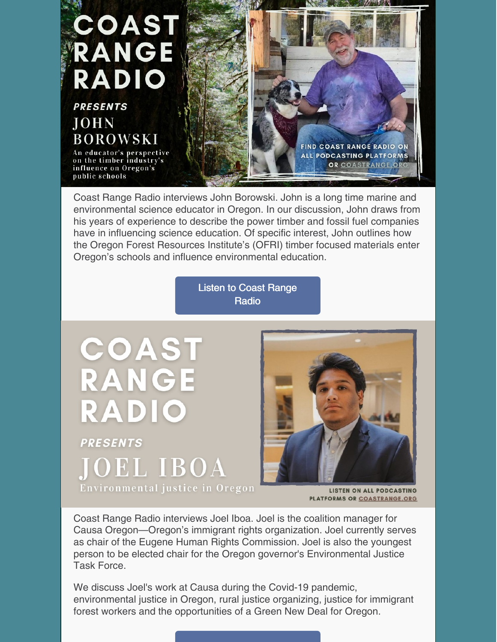

Coast Range Radio interviews John Borowski. John is a long time marine and environmental science educator in Oregon. In our discussion, John draws from his years of experience to describe the power timber and fossil fuel companies have in influencing science education. Of specific interest, John outlines how the Oregon Forest Resources Institute's (OFRI) timber focused materials enter Oregon's schools and influence environmental education.

> Listen to Coast [Range](https://coastrange.org/coast-range-radio/) **Radio**

COAST **RANGE** RADIO **PRESENTS JOEL IBOA** Environmental justice in Oregon



**LISTEN ON ALL PODCASTING** PLATFORMS OR COASTRANGE.ORG

Coast Range Radio interviews Joel Iboa. Joel is the coalition manager for Causa Oregon—Oregon's immigrant rights organization. Joel currently serves as chair of the Eugene Human Rights Commission. Joel is also the youngest person to be elected chair for the Oregon governor's Environmental Justice Task Force.

We discuss Joel's work at Causa during the Covid-19 pandemic, environmental justice in Oregon, rural justice organizing, justice for immigrant forest workers and the opportunities of a Green New Deal for Oregon.